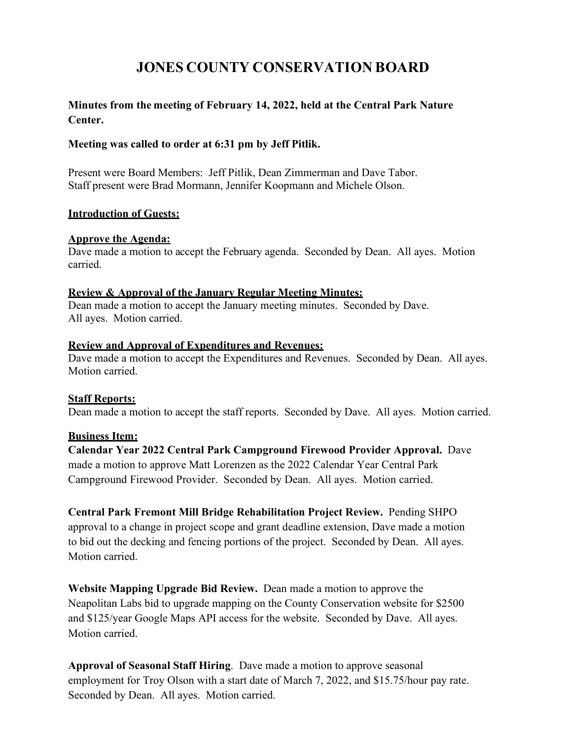# **JONES COUNTY CONSERVATION BOARD**

# **Minutes from the meeting of February 14, 2022, held at the Central Park Nature Center.**

# **Meeting was called to order at 6:31 pm by Jeff Pitlik.**

Present were Board Members: Jeff Pitlik, Dean Zimmerman and Dave Tabor. Staff present were Brad Mormann, Jennifer Koopmann and Michele Olson.

# **Introduction of Guests:**

# **Approve the Agenda:**

Dave made a motion to accept the February agenda. Seconded by Dean. All ayes. Motion carried.

#### **Review & Approval of the January Regular Meeting Minutes:**

Dean made a motion to accept the January meeting minutes. Seconded by Dave. All ayes. Motion carried.

#### **Review and Approval of Expenditures and Revenues:**

Dave made a motion to accept the Expenditures and Revenues. Seconded by Dean. All ayes. Motion carried.

# **Staff Reports:**

Dean made a motion to accept the staff reports. Seconded by Dave. All ayes. Motion carried.

# **Business Item:**

**Calendar Year 2022 Central Park Campground Firewood Provider Approval.** Dave made a motion to approve Matt Lorenzen as the 2022 Calendar Year Central Park Campground Firewood Provider. Seconded by Dean. All ayes. Motion carried.

**Central Park Fremont Mill Bridge Rehabilitation Project Review.** Pending SHPO approval to a change in project scope and grant deadline extension, Dave made a motion to bid out the decking and fencing portions of the project. Seconded by Dean. All ayes. Motion carried.

**Website Mapping Upgrade Bid Review.** Dean made a motion to approve the Neapolitan Labs bid to upgrade mapping on the County Conservation website for \$2500 and \$125/year Google Maps API access for the website. Seconded by Dave. All ayes. Motion carried.

**Approval of Seasonal Staff Hiring**. Dave made a motion to approve seasonal employment for Troy Olson with a start date of March 7, 2022, and \$15.75/hour pay rate. Seconded by Dean. All ayes. Motion carried.